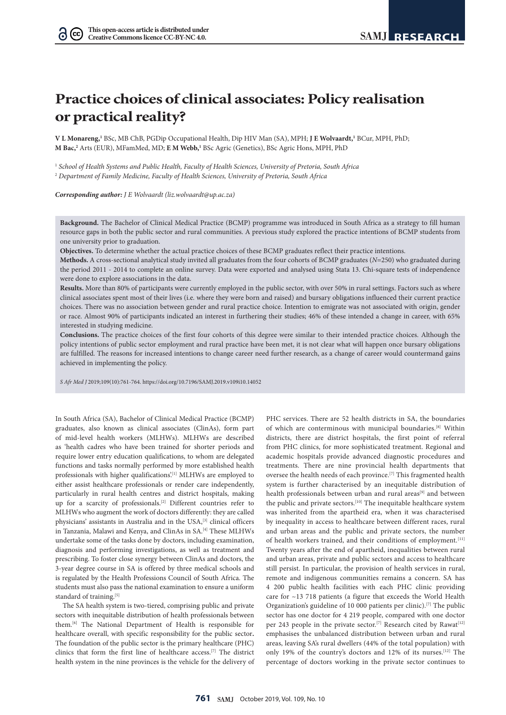$(cc)$ 

# **Practice choices of clinical associates: Policy realisation or practical reality?**

**V L Monareng,**<sup>1</sup> BSc, MB ChB, PGDip Occupational Health, Dip HIV Man (SA), MPH; **J E Wolvaardt,**<sup>1</sup> BCur, MPH, PhD; **M Bac,2** Arts (EUR), MFamMed, MD; **E M Webb,1** BSc Agric (Genetics), BSc Agric Hons, MPH, PhD

<sup>1</sup> *School of Health Systems and Public Health, Faculty of Health Sciences, University of Pretoria, South Africa*

<sup>2</sup> *Department of Family Medicine, Faculty of Health Sciences, University of Pretoria, South Africa*

*Corresponding author: J E Wolvaardt (liz.wolvaardt@up.ac.za)*

**Background.** The Bachelor of Clinical Medical Practice (BCMP) programme was introduced in South Africa as a strategy to fill human resource gaps in both the public sector and rural communities. A previous study explored the practice intentions of BCMP students from one university prior to graduation.

**Objectives.** To determine whether the actual practice choices of these BCMP graduates reflect their practice intentions.

**Methods.** A cross-sectional analytical study invited all graduates from the four cohorts of BCMP graduates (*N*=250) who graduated during the period 2011 - 2014 to complete an online survey. Data were exported and analysed using Stata 13. Chi-square tests of independence were done to explore associations in the data.

**Results.** More than 80% of participants were currently employed in the public sector, with over 50% in rural settings. Factors such as where clinical associates spent most of their lives (i.e. where they were born and raised) and bursary obligations influenced their current practice choices. There was no association between gender and rural practice choice. Intention to emigrate was not associated with origin, gender or race. Almost 90% of participants indicated an interest in furthering their studies; 46% of these intended a change in career, with 65% interested in studying medicine.

**Conclusions.** The practice choices of the first four cohorts of this degree were similar to their intended practice choices. Although the policy intentions of public sector employment and rural practice have been met, it is not clear what will happen once bursary obligations are fulfilled. The reasons for increased intentions to change career need further research, as a change of career would countermand gains achieved in implementing the policy.

*S Afr Med J* 2019;109(10):761-764. https://doi.org/10.7196/SAMJ.2019.v109i10.14052

In South Africa (SA), Bachelor of Clinical Medical Practice (BCMP) graduates, also known as clinical associates (ClinAs), form part of mid-level health workers (MLHWs). MLHWs are described as 'health cadres who have been trained for shorter periods and require lower entry education qualifications, to whom are delegated functions and tasks normally performed by more established health professionals with higher qualifications.<sup>[1]</sup> MLHWs are employed to either assist healthcare professionals or render care independently, particularly in rural health centres and district hospitals, making up for a scarcity of professionals.[2] Different countries refer to MLHWs who augment the work of doctors differently: they are called physicians' assistants in Australia and in the USA,<sup>[3]</sup> clinical officers in Tanzania, Malawi and Kenya, and ClinAs in SA.[4] These MLHWs undertake some of the tasks done by doctors, including examination, diagnosis and performing investigations, as well as treatment and prescribing. To foster close synergy between ClinAs and doctors, the 3-year degree course in SA is offered by three medical schools and is regulated by the Health Professions Council of South Africa. The students must also pass the national examination to ensure a uniform standard of training.<sup>[5]</sup>

The SA health system is two-tiered, comprising public and private sectors with inequitable distribution of health professionals between them.[6] The National Department of Health is responsible for healthcare overall, with specific responsibility for the public sector**.** The foundation of the public sector is the primary healthcare (PHC) clinics that form the first line of healthcare access.[7] The district health system in the nine provinces is the vehicle for the delivery of

PHC services. There are 52 health districts in SA, the boundaries of which are conterminous with municipal boundaries.[8] Within districts, there are district hospitals, the first point of referral from PHC clinics, for more sophisticated treatment. Regional and academic hospitals provide advanced diagnostic procedures and treatments. There are nine provincial health departments that oversee the health needs of each province.  $\!^{[7]}$  This fragmented health system is further characterised by an inequitable distribution of health professionals between urban and rural areas<sup>[9]</sup> and between the public and private sectors.<sup>[10]</sup> The inequitable healthcare system was inherited from the apartheid era, when it was characterised by inequality in access to healthcare between different races, rural and urban areas and the public and private sectors, the number of health workers trained, and their conditions of employment.<sup>[11]</sup> Twenty years after the end of apartheid, inequalities between rural and urban areas, private and public sectors and access to healthcare still persist. In particular, the provision of health services in rural, remote and indigenous communities remains a concern. SA has 4 200 public health facilities with each PHC clinic providing care for ~13 718 patients (a figure that exceeds the World Health Organization's guideline of 10 000 patients per clinic).[7] The public sector has one doctor for 4 219 people, compared with one doctor per 243 people in the private sector.<sup>[7]</sup> Research cited by Rawat<sup>[12]</sup> emphasises the unbalanced distribution between urban and rural areas, leaving SA's rural dwellers (44% of the total population) with only 19% of the country's doctors and 12% of its nurses.[12] The percentage of doctors working in the private sector continues to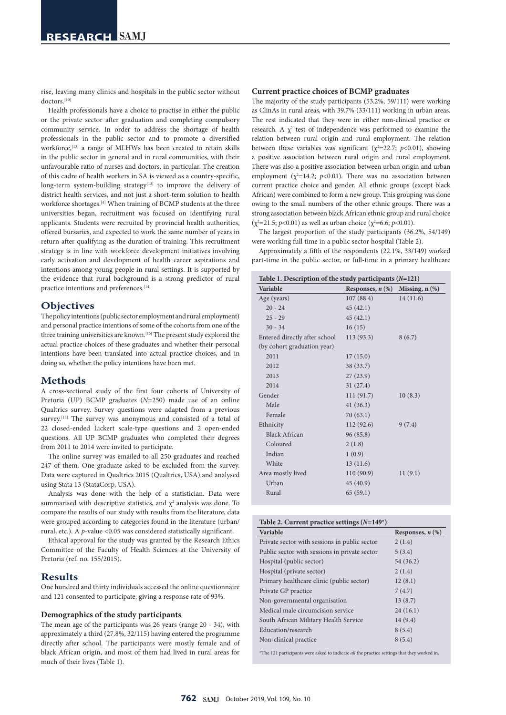rise, leaving many clinics and hospitals in the public sector without doctors.[10]

Health professionals have a choice to practise in either the public or the private sector after graduation and completing compulsory community service. In order to address the shortage of health professionals in the public sector and to promote a diversified workforce,<sup>[13]</sup> a range of MLHWs has been created to retain skills in the public sector in general and in rural communities, with their unfavourable ratio of nurses and doctors, in particular. The creation of this cadre of health workers in SA is viewed as a country-specific, long-term system-building strategy $[13]$  to improve the delivery of district health services, and not just a short-term solution to health workforce shortages.[4] When training of BCMP students at the three universities began, recruitment was focused on identifying rural applicants. Students were recruited by provincial health authorities, offered bursaries, and expected to work the same number of years in return after qualifying as the duration of training. This recruitment strategy is in line with workforce development initiatives involving early activation and development of health career aspirations and intentions among young people in rural settings. It is supported by the evidence that rural background is a strong predictor of rural practice intentions and preferences.<sup>[14]</sup>

## **Objectives**

The policy intentions (public sector employment and rural employment) and personal practice intentions of some of the cohorts from one of the three training universities are known.[15] The present study explored the actual practice choices of these graduates and whether their personal intentions have been translated into actual practice choices, and in doing so, whether the policy intentions have been met.

## **Methods**

A cross-sectional study of the first four cohorts of University of Pretoria (UP) BCMP graduates (*N*=250) made use of an online Qualtrics survey. Survey questions were adapted from a previous survey.<sup>[15]</sup> The survey was anonymous and consisted of a total of 22 closed-ended Lickert scale-type questions and 2 open-ended questions. All UP BCMP graduates who completed their degrees from 2011 to 2014 were invited to participate.

The online survey was emailed to all 250 graduates and reached 247 of them. One graduate asked to be excluded from the survey. Data were captured in Qualtrics 2015 (Qualtrics, USA) and analysed using Stata 13 (StataCorp, USA).

Analysis was done with the help of a statistician. Data were summarised with descriptive statistics, and  $\chi^2$  analysis was done. To compare the results of our study with results from the literature, data were grouped according to categories found in the literature (urban/ rural, etc.). A *p*-value <0.05 was considered statistically significant.

Ethical approval for the study was granted by the Research Ethics Committee of the Faculty of Health Sciences at the University of Pretoria (ref. no. 155/2015).

## **Results**

One hundred and thirty individuals accessed the online questionnaire and 121 consented to participate, giving a response rate of 93%.

### **Demographics of the study participants**

The mean age of the participants was 26 years (range 20 - 34), with approximately a third (27.8%, 32/115) having entered the programme directly after school. The participants were mostly female and of black African origin, and most of them had lived in rural areas for much of their lives (Table 1).

#### **Current practice choices of BCMP graduates**

The majority of the study participants (53.2%, 59/111) were working as ClinAs in rural areas, with 39.7% (33/111) working in urban areas. The rest indicated that they were in either non-clinical practice or research. A  $\chi^2$  test of independence was performed to examine the relation between rural origin and rural employment. The relation between these variables was significant ( $\chi^2$ =22.7; *p*<0.01), showing a positive association between rural origin and rural employment. There was also a positive association between urban origin and urban employment ( $\chi^2$ =14.2;  $p$ <0.01). There was no association between current practice choice and gender. All ethnic groups (except black African) were combined to form a new group. This grouping was done owing to the small numbers of the other ethnic groups. There was a strong association between black African ethnic group and rural choice  $(χ<sup>2</sup>=21.5; p<0.01)$  as well as urban choice  $(χ<sup>2</sup>=6.6; p<0.01)$ .

The largest proportion of the study participants (36.2%, 54/149) were working full time in a public sector hospital (Table 2).

Approximately a fifth of the respondents (22.1%, 33/149) worked part-time in the public sector, or full-time in a primary healthcare

| Table 1. Description of the study participants $(N=121)$ |                       |                     |
|----------------------------------------------------------|-----------------------|---------------------|
| Variable                                                 | Responses, $n$ $(\%)$ | Missing, $n$ $(\%)$ |
| Age (years)                                              | 107(88.4)             | 14(11.6)            |
| $20 - 24$                                                | 45(42.1)              |                     |
| $25 - 29$                                                | 45(42.1)              |                     |
| $30 - 34$                                                | 16(15)                |                     |
| Entered directly after school                            | 113(93.3)             | 8(6.7)              |
| (by cohort graduation year)                              |                       |                     |
| 2011                                                     | 17(15.0)              |                     |
| 2012                                                     | 38 (33.7)             |                     |
| 2013                                                     | 27(23.9)              |                     |
| 2014                                                     | 31(27.4)              |                     |
| Gender                                                   | 111(91.7)             | 10(8.3)             |
| Male                                                     | 41(36.3)              |                     |
| Female                                                   | 70(63.1)              |                     |
| Ethnicity                                                | 112(92.6)             | 9(7.4)              |
| Black African                                            | 96 (85.8)             |                     |
| Coloured                                                 | 2(1.8)                |                     |
| Indian                                                   | 1(0.9)                |                     |
| White                                                    | 13(11.6)              |                     |
| Area mostly lived                                        | 110(90.9)             | 11(9.1)             |
| Urban                                                    | 45(40.9)              |                     |
| Rural                                                    | 65(59.1)              |                     |
|                                                          |                       |                     |

| Table 2. Current practice settings $(N=149^*)$ |                       |  |
|------------------------------------------------|-----------------------|--|
| Variable                                       | Responses, $n$ $(\%)$ |  |
| Private sector with sessions in public sector  | 2(1.4)                |  |
| Public sector with sessions in private sector  | 5(3.4)                |  |
| Hospital (public sector)                       | 54 (36.2)             |  |
| Hospital (private sector)                      | 2(1.4)                |  |
| Primary healthcare clinic (public sector)      | 12(8.1)               |  |
| Private GP practice                            | 7(4.7)                |  |
| Non-governmental organisation                  | 13(8.7)               |  |
| Medical male circumcision service              | 24(16.1)              |  |
| South African Military Health Service          | 14(9.4)               |  |
| Education/research                             | 8(5.4)                |  |
| Non-clinical practice                          | 8(5.4)                |  |
|                                                |                       |  |

\*The 121 participants were asked to indicate *all* the practice settings that they worked in.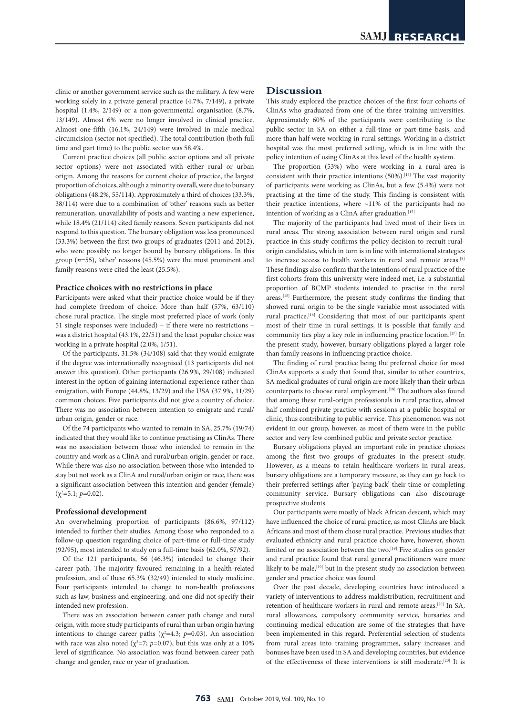clinic or another government service such as the military. A few were working solely in a private general practice (4.7%, 7/149), a private hospital (1.4%, 2/149) or a non-governmental organisation (8.7%, 13/149). Almost 6% were no longer involved in clinical practice. Almost one-fifth (16.1%, 24/149) were involved in male medical circumcision (sector not specified). The total contribution (both full time and part time) to the public sector was 58.4%.

Current practice choices (all public sector options and all private sector options) were not associated with either rural or urban origin. Among the reasons for current choice of practice, the largest proportion of choices, although a minority overall, were due to bursary obligations (48.2%, 55/114). Approximately a third of choices (33.3%, 38/114) were due to a combination of 'other' reasons such as better remuneration, unavailability of posts and wanting a new experience, while 18.4% (21/114) cited family reasons. Seven participants did not respond to this question. The bursary obligation was less pronounced (33.3%) between the first two groups of graduates (2011 and 2012), who were possibly no longer bound by bursary obligations. In this group (*n*=55), 'other' reasons (45.5%) were the most prominent and family reasons were cited the least (25.5%).

### **Practice choices with no restrictions in place**

Participants were asked what their practice choice would be if they had complete freedom of choice. More than half (57%, 63/110) chose rural practice. The single most preferred place of work (only 51 single responses were included) – if there were no restrictions – was a district hospital (43.1%, 22/51) and the least popular choice was working in a private hospital (2.0%, 1/51).

Of the participants, 31.5% (34/108) said that they would emigrate if the degree was internationally recognised (13 participants did not answer this question). Other participants (26.9%, 29/108) indicated interest in the option of gaining international experience rather than emigration, with Europe (44.8%, 13/29) and the USA (37.9%, 11/29) common choices. Five participants did not give a country of choice. There was no association between intention to emigrate and rural/ urban origin, gender or race.

Of the 74 participants who wanted to remain in SA, 25.7% (19/74) indicated that they would like to continue practising as ClinAs. There was no association between those who intended to remain in the country and work as a ClinA and rural/urban origin, gender or race. While there was also no association between those who intended to stay but not work as a ClinA and rural/urban origin or race, there was a significant association between this intention and gender (female)  $(\chi^2 = 5.1; p = 0.02).$ 

#### **Professional development**

An overwhelming proportion of participants (86.6%, 97/112) intended to further their studies. Among those who responded to a follow-up question regarding choice of part-time or full-time study (92/95), most intended to study on a full-time basis (62.0%, 57/92).

Of the 121 participants, 56 (46.3%) intended to change their career path. The majority favoured remaining in a health-related profession, and of these 65.3% (32/49) intended to study medicine. Four participants intended to change to non-health professions such as law, business and engineering, and one did not specify their intended new profession.

There was an association between career path change and rural origin, with more study participants of rural than urban origin having intentions to change career paths ( $\chi^2$ =4.3; *p*=0.03). An association with race was also noted ( $\chi^2$ =7; *p*=0.07), but this was only at a 10% level of significance. No association was found between career path change and gender, race or year of graduation.

## **Discussion**

This study explored the practice choices of the first four cohorts of ClinAs who graduated from one of the three training universities. Approximately 60% of the participants were contributing to the public sector in SA on either a full-time or part-time basis, and more than half were working in rural settings. Working in a district hospital was the most preferred setting, which is in line with the policy intention of using ClinAs at this level of the health system.

The proportion (53%) who were working in a rural area is consistent with their practice intentions (50%).[15] The vast majority of participants were working as ClinAs, but a few (5.4%) were not practising at the time of the study. This finding is consistent with their practice intentions, where  $\sim$ 11% of the participants had no intention of working as a ClinA after graduation.  $^{\left[ 15\right] }$ 

The majority of the participants had lived most of their lives in rural areas. The strong association between rural origin and rural practice in this study confirms the policy decision to recruit ruralorigin candidates, which in turn is in line with international strategies to increase access to health workers in rural and remote areas.[9] These findings also confirm that the intentions of rural practice of the first cohorts from this university were indeed met, i.e. a substantial proportion of BCMP students intended to practise in the rural areas.[15] Furthermore, the present study confirms the finding that showed rural origin to be the single variable most associated with rural practice.<sup>[16]</sup> Considering that most of our participants spent most of their time in rural settings, it is possible that family and community ties play a key role in influencing practice location.[17] In the present study, however, bursary obligations played a larger role than family reasons in influencing practice choice.

The finding of rural practice being the preferred choice for most ClinAs supports a study that found that, similar to other countries, SA medical graduates of rural origin are more likely than their urban counterparts to choose rural employment.<sup>[18]</sup> The authors also found that among these rural-origin professionals in rural practice, almost half combined private practice with sessions at a public hospital or clinic, thus contributing to public service. This phenomenon was not evident in our group, however, as most of them were in the public sector and very few combined public and private sector practice.

Bursary obligations played an important role in practice choices among the first two groups of graduates in the present study. However**,** as a means to retain healthcare workers in rural areas, bursary obligations are a temporary measure, as they can go back to their preferred settings after 'paying back' their time or completing community service. Bursary obligations can also discourage prospective students.

Our participants were mostly of black African descent, which may have influenced the choice of rural practice, as most ClinAs are black Africans and most of them chose rural practice. Previous studies that evaluated ethnicity and rural practice choice have, however, shown limited or no association between the two.<sup>[19]</sup> Five studies on gender and rural practice found that rural general practitioners were more likely to be male,<sup>[19]</sup> but in the present study no association between gender and practice choice was found.

Over the past decade, developing countries have introduced a variety of interventions to address maldistribution, recruitment and retention of healthcare workers in rural and remote areas.[20] In SA, rural allowances, compulsory community service, bursaries and continuing medical education are some of the strategies that have been implemented in this regard. Preferential selection of students from rural areas into training programmes, salary increases and bonuses have been used in SA and developing countries, but evidence of the effectiveness of these interventions is still moderate.[20] It is